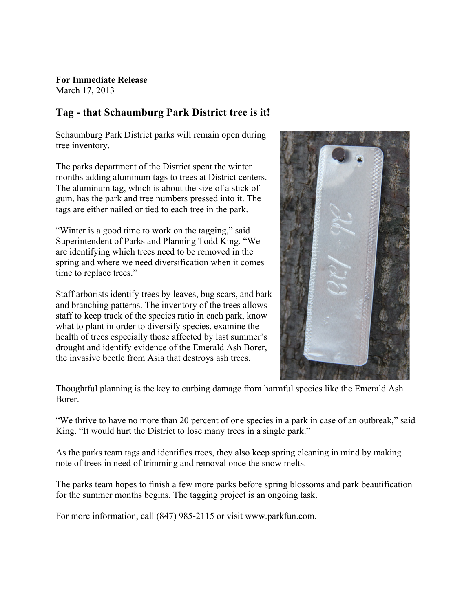**For Immediate Release** March 17, 2013

## **Tag - that Schaumburg Park District tree is it!**

Schaumburg Park District parks will remain open during tree inventory.

The parks department of the District spent the winter months adding aluminum tags to trees at District centers. The aluminum tag, which is about the size of a stick of gum, has the park and tree numbers pressed into it. The tags are either nailed or tied to each tree in the park.

"Winter is a good time to work on the tagging," said Superintendent of Parks and Planning Todd King. "We are identifying which trees need to be removed in the spring and where we need diversification when it comes time to replace trees."

Staff arborists identify trees by leaves, bug scars, and bark and branching patterns. The inventory of the trees allows staff to keep track of the species ratio in each park, know what to plant in order to diversify species, examine the health of trees especially those affected by last summer's drought and identify evidence of the Emerald Ash Borer, the invasive beetle from Asia that destroys ash trees.



Thoughtful planning is the key to curbing damage from harmful species like the Emerald Ash Borer. **the Jerry Handlon Administration** 

"We thrive to have no more than 20 percent of one species in a park in case of an outbreak," said King. "It would hurt the District to lose many trees in a single park."

As the parks team tags and identifies trees, they also keep spring cleaning in mind by making note of trees in need of trimming and removal once the snow melts.

The parks team hopes to finish a few more parks before spring blossoms and park beautification for the summer months begins. The tagging project is an ongoing task.

For more information, call (847) 985-2115 or visit www.parkfun.com.